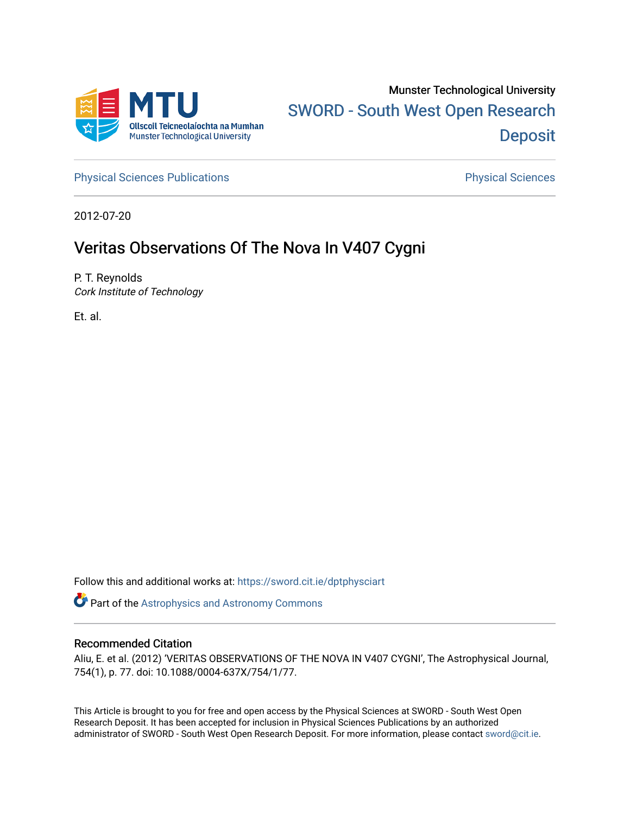

[Physical Sciences Publications](https://sword.cit.ie/dptphysciart) **Physical Sciences** Physical Sciences

2012-07-20

# Veritas Observations Of The Nova In V407 Cygni

P. T. Reynolds Cork Institute of Technology

Et. al.

Follow this and additional works at: [https://sword.cit.ie/dptphysciart](https://sword.cit.ie/dptphysciart?utm_source=sword.cit.ie%2Fdptphysciart%2F73&utm_medium=PDF&utm_campaign=PDFCoverPages)

Part of the [Astrophysics and Astronomy Commons](http://network.bepress.com/hgg/discipline/123?utm_source=sword.cit.ie%2Fdptphysciart%2F73&utm_medium=PDF&utm_campaign=PDFCoverPages) 

# Recommended Citation

Aliu, E. et al. (2012) 'VERITAS OBSERVATIONS OF THE NOVA IN V407 CYGNI', The Astrophysical Journal, 754(1), p. 77. doi: 10.1088/0004-637X/754/1/77.

This Article is brought to you for free and open access by the Physical Sciences at SWORD - South West Open Research Deposit. It has been accepted for inclusion in Physical Sciences Publications by an authorized administrator of SWORD - South West Open Research Deposit. For more information, please contact [sword@cit.ie.](mailto:sword@cit.ie)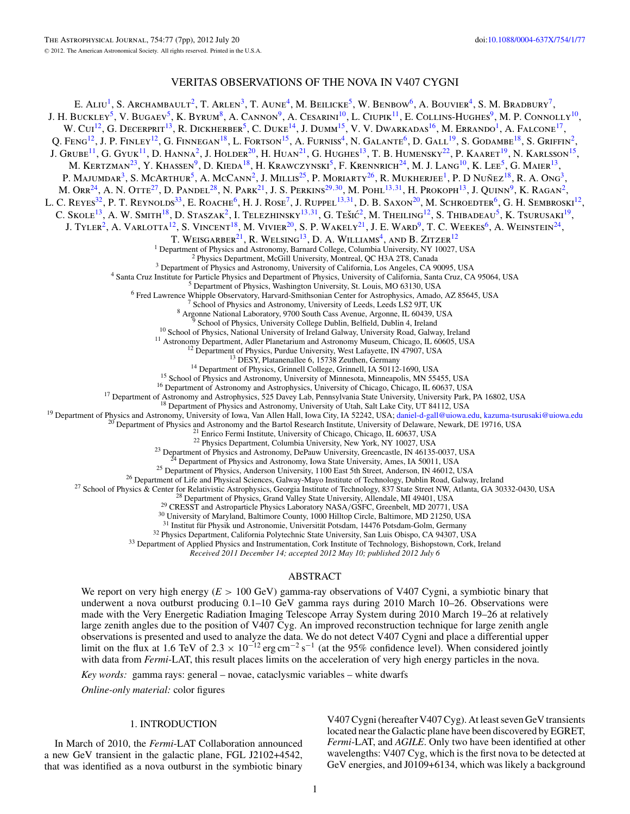# VERITAS OBSERVATIONS OF THE NOVA IN V407 CYGNI

E. ALIU<sup>1</sup>, S. ARCHAMBAULT<sup>2</sup>, T. ARLEN<sup>3</sup>, T. AUNE<sup>4</sup>, M. BEILICKE<sup>5</sup>, W. BENBOW<sup>6</sup>, A. BOUVIER<sup>4</sup>, S. M. BRADBURY<sup>7</sup>, J. H. BUCKLEY<sup>5</sup>, V. BUGAEV<sup>5</sup>, K. BYRUM<sup>8</sup>, A. CANNON<sup>9</sup>, A. CESARINI<sup>10</sup>, L. CIUPIK<sup>11</sup>, E. COLLINS-HUGHES<sup>9</sup>, M. P. CONNOLLY<sup>10</sup>, W. Cui<sup>12</sup>, G. Decerprit<sup>13</sup>, R. Dickherber<sup>5</sup>, C. Duke<sup>14</sup>, J. Dumm<sup>15</sup>, V. V. Dwarkadas<sup>16</sup>, M. Errando<sup>1</sup>, A. Falcone<sup>17</sup>, Q. Feng<sup>12</sup>, J. P. Finley<sup>12</sup>, G. Finnegan<sup>18</sup>, L. Fortson<sup>15</sup>, A. Furniss<sup>4</sup>, N. Galante<sup>6</sup>, D. Gall<sup>19</sup>, S. Godambe<sup>18</sup>, S. Griffin<sup>2</sup>, J. GRUBE<sup>11</sup>, G. GYUK<sup>11</sup>, D. HANNA<sup>2</sup>, J. HOLDER<sup>20</sup>, H. HUAN<sup>21</sup>, G. HUGHES<sup>13</sup>, T. B. HUMENSKY<sup>22</sup>, P. KAARET<sup>19</sup>, N. KARLSSON<sup>15</sup>, M. KERTZMAN<sup>23</sup>, Y. KHASSEN<sup>9</sup>, D. KIEDA<sup>18</sup>, H. KRAWCZYNSKI<sup>5</sup>, F. KRENNRICH<sup>24</sup>, M. J. LANG<sup>10</sup>, K. LEE<sup>5</sup>, G. MAIER<sup>13</sup>, P. MAJUMDAR<sup>3</sup>, S. MCARTHUR<sup>5</sup>, A. McCann<sup>2</sup>, J. Millis<sup>25</sup>, P. Moriarty<sup>26</sup>, R. Mukherjee<sup>1</sup>, P. D Nunez<sup>18</sup>, R. A. Ong<sup>3</sup>, M. Orr24, A. N. Otte27, D. Pandel28, N. Park21, J. S. Perkins29*,*30, M. Pohl13*,*31, H. Prokoph13, J. Quinn9, K. Ragan2, L. C. Reyes<sup>32</sup>, P. T. Reynolds<sup>33</sup>, E. Roache<sup>6</sup>, H. J. Rose<sup>7</sup>, J. Ruppel<sup>13,31</sup>, D. B. Saxon<sup>20</sup>, M. Schroedter<sup>6</sup>, G. H. Sembroski<sup>12</sup>, C. Skole<sup>13</sup>, A. W. SMITH<sup>18</sup>, D. STASZAK<sup>2</sup>, I. Telezhinsky<sup>13,31</sup>, G. Tešić<sup>2</sup>, M. Theiling<sup>12</sup>, S. Thibadeau<sup>5</sup>, K. Tsurusaki<sup>19</sup>, J. Tyler<sup>2</sup>, A. Varlotta<sup>12</sup>, S. Vincent<sup>18</sup>, M. Vivier<sup>20</sup>, S. P. Wakely<sup>21</sup>, J. E. Ward<sup>9</sup>, T. C. Weekes<sup>6</sup>, A. Weinstein<sup>24</sup>, T. Weisgarber $^{21}$ , R. Welsing $^{13}$ , D. A. Williams $^4$ , and B. Zitzer $^{12}$ <sup>1</sup> Department of Physics Brandtentomy, Brandta College, Columbia University, NY 10027, USA<br>
<sup>2</sup> Physics Department of Physics, and Astronomy, University Aforetizal, Des H3A 278, Canada<br>
<sup>4</sup> Starn Cruz Institute for Phari  $^{30}$  University of Maryland, Baltimore County, 1000 Hilltop Circle, Baltimore, MD 21250, USA<br> $^{31}$  Institut für Physik und Astronomie, Universität Potsdam, 14476 Potsdam-Golm, Germany<br> $^{32}$  Physics Department, Califor *Received 2011 December 14; accepted 2012 May 10; published 2012 July 6* ABSTRACT

We report on very high energy (*E >* 100 GeV) gamma-ray observations of V407 Cygni, a symbiotic binary that underwent a nova outburst producing 0.1–10 GeV gamma rays during 2010 March 10–26. Observations were made with the Very Energetic Radiation Imaging Telescope Array System during 2010 March 19–26 at relatively large zenith angles due to the position of V407 Cyg. An improved reconstruction technique for large zenith angle observations is presented and used to analyze the data. We do not detect V407 Cygni and place a differential upper limit on the flux at 1.6 TeV of 2.3  $\times$  10<sup>-12</sup> erg cm<sup>-2</sup> s<sup>-1</sup> (at the 95% confidence level). When considered jointly with data from *Fermi*-LAT, this result places limits on the acceleration of very high energy particles in the nova.

*Key words:* gamma rays: general – novae, cataclysmic variables – white dwarfs

*Online-only material:* color figures

### 1. INTRODUCTION

In March of 2010, the *Fermi*-LAT Collaboration announced a new GeV transient in the galactic plane, FGL J2102+4542, that was identified as a nova outburst in the symbiotic binary

V407 Cygni (hereafter V407 Cyg). At least seven GeV transients located near the Galactic plane have been discovered by EGRET, *Fermi*-LAT, and *AGILE*. Only two have been identified at other wavelengths: V407 Cyg, which is the first nova to be detected at GeV energies, and J0109+6134, which was likely a background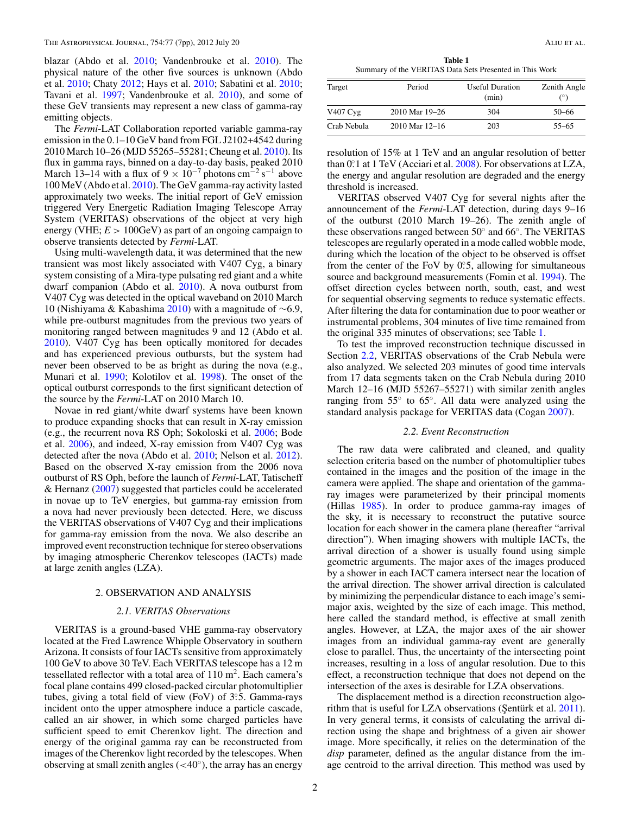blazar (Abdo et al. [2010;](#page-6-0) Vandenbrouke et al. [2010\)](#page-7-0). The physical nature of the other five sources is unknown (Abdo et al. [2010;](#page-6-0) Chaty [2012;](#page-6-0) Hays et al. [2010;](#page-7-0) Sabatini et al. [2010;](#page-7-0) Tavani et al. [1997;](#page-7-0) Vandenbrouke et al. [2010\)](#page-7-0), and some of these GeV transients may represent a new class of gamma-ray emitting objects.

The *Fermi*-LAT Collaboration reported variable gamma-ray emission in the 0.1–10 GeV band from FGL J2102+4542 during 2010 March 10–26 (MJD 55265–55281; Cheung et al. [2010\)](#page-6-0). Its flux in gamma rays, binned on a day-to-day basis, peaked 2010 March 13–14 with a flux of  $9 \times 10^{-7}$  photons cm<sup>-2</sup> s<sup>-1</sup> above 100 MeV (Abdo et al. [2010\)](#page-6-0). The GeV gamma-ray activity lasted approximately two weeks. The initial report of GeV emission triggered Very Energetic Radiation Imaging Telescope Array System (VERITAS) observations of the object at very high energy (VHE;  $E > 100 \text{GeV}$ ) as part of an ongoing campaign to observe transients detected by *Fermi*-LAT.

Using multi-wavelength data, it was determined that the new transient was most likely associated with V407 Cyg, a binary system consisting of a Mira-type pulsating red giant and a white dwarf companion (Abdo et al. [2010\)](#page-6-0). A nova outburst from V407 Cyg was detected in the optical waveband on 2010 March 10 (Nishiyama & Kabashima [2010\)](#page-7-0) with a magnitude of ∼6*.*9, while pre-outburst magnitudes from the previous two years of monitoring ranged between magnitudes 9 and 12 (Abdo et al. [2010\)](#page-6-0). V407 Cyg has been optically monitored for decades and has experienced previous outbursts, but the system had never been observed to be as bright as during the nova (e.g., Munari et al. [1990;](#page-7-0) Kolotilov et al. [1998\)](#page-7-0). The onset of the optical outburst corresponds to the first significant detection of the source by the *Fermi*-LAT on 2010 March 10.

Novae in red giant*/*white dwarf systems have been known to produce expanding shocks that can result in X-ray emission (e.g., the recurrent nova RS Oph; Sokoloski et al. [2006;](#page-7-0) Bode et al. [2006\)](#page-6-0), and indeed, X-ray emission from V407 Cyg was detected after the nova (Abdo et al. [2010;](#page-6-0) Nelson et al. [2012\)](#page-7-0). Based on the observed X-ray emission from the 2006 nova outburst of RS Oph, before the launch of *Fermi*-LAT, Tatischeff & Hernanz [\(2007\)](#page-7-0) suggested that particles could be accelerated in novae up to TeV energies, but gamma-ray emission from a nova had never previously been detected. Here, we discuss the VERITAS observations of V407 Cyg and their implications for gamma-ray emission from the nova. We also describe an improved event reconstruction technique for stereo observations by imaging atmospheric Cherenkov telescopes (IACTs) made at large zenith angles (LZA).

#### 2. OBSERVATION AND ANALYSIS

## *2.1. VERITAS Observations*

VERITAS is a ground-based VHE gamma-ray observatory located at the Fred Lawrence Whipple Observatory in southern Arizona. It consists of four IACTs sensitive from approximately 100 GeV to above 30 TeV. Each VERITAS telescope has a 12 m tessellated reflector with a total area of  $110 \text{ m}^2$ . Each camera's focal plane contains 499 closed-packed circular photomultiplier tubes, giving a total field of view (FoV) of 3°.5. Gamma-rays incident onto the upper atmosphere induce a particle cascade, called an air shower, in which some charged particles have sufficient speed to emit Cherenkov light. The direction and energy of the original gamma ray can be reconstructed from images of the Cherenkov light recorded by the telescopes. When observing at small zenith angles (*<*40◦), the array has an energy

**Table 1** Summary of the VERITAS Data Sets Presented in This Work

| Target      | Period             | <b>Useful Duration</b><br>(min) | Zenith Angle |
|-------------|--------------------|---------------------------------|--------------|
| V407 Cyg    | 2010 Mar 19–26     | 304                             | $50 - 66$    |
| Crab Nebula | $2010$ Mar $12-16$ | 203                             | $55 - 65$    |

resolution of 15% at 1 TeV and an angular resolution of better than 0*.* ◦1 at 1 TeV (Acciari et al. [2008\)](#page-6-0). For observations at LZA, the energy and angular resolution are degraded and the energy threshold is increased.

VERITAS observed V407 Cyg for several nights after the announcement of the *Fermi*-LAT detection, during days 9–16 of the outburst (2010 March 19–26). The zenith angle of these observations ranged between 50◦ and 66◦. The VERITAS telescopes are regularly operated in a mode called wobble mode, during which the location of the object to be observed is offset from the center of the FoV by 0.5, allowing for simultaneous source and background measurements (Fomin et al. [1994\)](#page-7-0). The offset direction cycles between north, south, east, and west for sequential observing segments to reduce systematic effects. After filtering the data for contamination due to poor weather or instrumental problems, 304 minutes of live time remained from the original 335 minutes of observations; see Table 1.

To test the improved reconstruction technique discussed in Section 2.2, VERITAS observations of the Crab Nebula were also analyzed. We selected 203 minutes of good time intervals from 17 data segments taken on the Crab Nebula during 2010 March 12–16 (MJD 55267–55271) with similar zenith angles ranging from 55◦ to 65◦. All data were analyzed using the standard analysis package for VERITAS data (Cogan [2007\)](#page-6-0).

#### *2.2. Event Reconstruction*

The raw data were calibrated and cleaned, and quality selection criteria based on the number of photomultiplier tubes contained in the images and the position of the image in the camera were applied. The shape and orientation of the gammaray images were parameterized by their principal moments (Hillas [1985\)](#page-7-0). In order to produce gamma-ray images of the sky, it is necessary to reconstruct the putative source location for each shower in the camera plane (hereafter "arrival direction"). When imaging showers with multiple IACTs, the arrival direction of a shower is usually found using simple geometric arguments. The major axes of the images produced by a shower in each IACT camera intersect near the location of the arrival direction. The shower arrival direction is calculated by minimizing the perpendicular distance to each image's semimajor axis, weighted by the size of each image. This method, here called the standard method, is effective at small zenith angles. However, at LZA, the major axes of the air shower images from an individual gamma-ray event are generally close to parallel. Thus, the uncertainty of the intersecting point increases, resulting in a loss of angular resolution. Due to this effect, a reconstruction technique that does not depend on the intersection of the axes is desirable for LZA observations.

The displacement method is a direction reconstruction algorithm that is useful for LZA observations (Şentürk et al.  $2011$ ). In very general terms, it consists of calculating the arrival direction using the shape and brightness of a given air shower image. More specifically, it relies on the determination of the *disp* parameter, defined as the angular distance from the image centroid to the arrival direction. This method was used by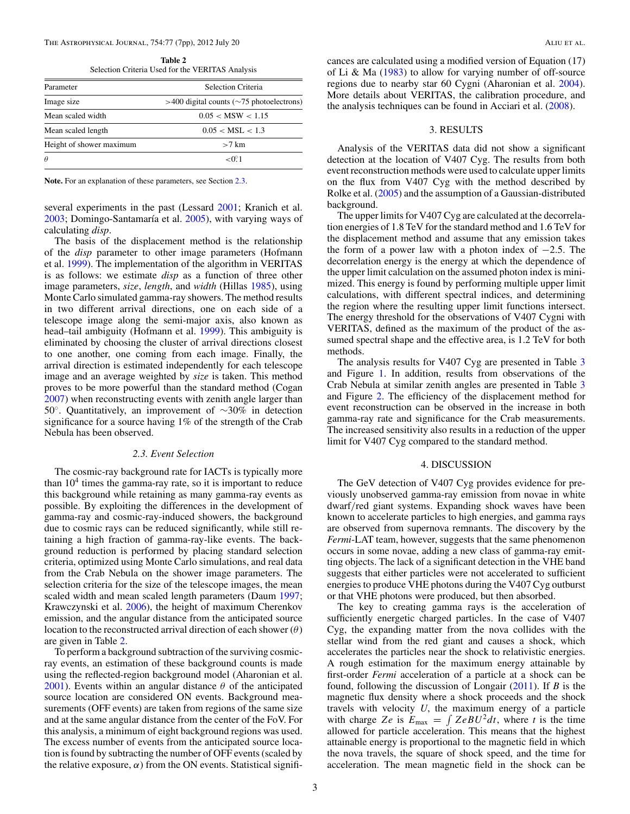#### <span id="page-3-0"></span>The Astrophysical Journal, 754:77 (7pp), 2012 July 20 Aliu et al.

**Table 2** Selection Criteria Used for the VERITAS Analysis

| Parameter                | Selection Criteria                                |  |  |
|--------------------------|---------------------------------------------------|--|--|
| Image size               | $>400$ digital counts ( $\sim$ 75 photoelectrons) |  |  |
| Mean scaled width        | 0.05 < MSW < 1.15                                 |  |  |
| Mean scaled length       | $0.05 < \text{MSL} < 1.3$                         |  |  |
| Height of shower maximum | $>7$ km                                           |  |  |
| $\theta$                 | $< 0$ <sup>o</sup> 1                              |  |  |
|                          |                                                   |  |  |

**Note.** For an explanation of these parameters, see Section 2.3.

several experiments in the past (Lessard [2001;](#page-7-0) Kranich et al. [2003;](#page-7-0) Domingo-Santamaría et al. [2005\)](#page-6-0), with varying ways of calculating *disp*.

The basis of the displacement method is the relationship of the *disp* parameter to other image parameters (Hofmann et al. [1999\)](#page-7-0). The implementation of the algorithm in VERITAS is as follows: we estimate *disp* as a function of three other image parameters, *size*, *length*, and *width* (Hillas [1985\)](#page-7-0), using Monte Carlo simulated gamma-ray showers. The method results in two different arrival directions, one on each side of a telescope image along the semi-major axis, also known as head–tail ambiguity (Hofmann et al. [1999\)](#page-7-0). This ambiguity is eliminated by choosing the cluster of arrival directions closest to one another, one coming from each image. Finally, the arrival direction is estimated independently for each telescope image and an average weighted by *size* is taken. This method proves to be more powerful than the standard method (Cogan [2007\)](#page-6-0) when reconstructing events with zenith angle larger than 50◦. Quantitatively, an improvement of ∼30% in detection significance for a source having 1% of the strength of the Crab Nebula has been observed.

#### *2.3. Event Selection*

The cosmic-ray background rate for IACTs is typically more than  $10<sup>4</sup>$  times the gamma-ray rate, so it is important to reduce this background while retaining as many gamma-ray events as possible. By exploiting the differences in the development of gamma-ray and cosmic-ray-induced showers, the background due to cosmic rays can be reduced significantly, while still retaining a high fraction of gamma-ray-like events. The background reduction is performed by placing standard selection criteria, optimized using Monte Carlo simulations, and real data from the Crab Nebula on the shower image parameters. The selection criteria for the size of the telescope images, the mean scaled width and mean scaled length parameters (Daum [1997;](#page-6-0) Krawczynski et al. [2006\)](#page-7-0), the height of maximum Cherenkov emission, and the angular distance from the anticipated source location to the reconstructed arrival direction of each shower (*θ*) are given in Table 2.

To perform a background subtraction of the surviving cosmicray events, an estimation of these background counts is made using the reflected-region background model (Aharonian et al. [2001\)](#page-6-0). Events within an angular distance *θ* of the anticipated source location are considered ON events. Background measurements (OFF events) are taken from regions of the same size and at the same angular distance from the center of the FoV. For this analysis, a minimum of eight background regions was used. The excess number of events from the anticipated source location is found by subtracting the number of OFF events (scaled by the relative exposure,  $\alpha$ ) from the ON events. Statistical significances are calculated using a modified version of Equation (17) of Li & Ma  $(1983)$  to allow for varying number of off-source regions due to nearby star 60 Cygni (Aharonian et al. [2004\)](#page-6-0). More details about VERITAS, the calibration procedure, and the analysis techniques can be found in Acciari et al. [\(2008\)](#page-6-0).

# 3. RESULTS

Analysis of the VERITAS data did not show a significant detection at the location of V407 Cyg. The results from both event reconstruction methods were used to calculate upper limits on the flux from V407 Cyg with the method described by Rolke et al. [\(2005\)](#page-7-0) and the assumption of a Gaussian-distributed background.

The upper limits for V407 Cyg are calculated at the decorrelation energies of 1.8 TeV for the standard method and 1.6 TeV for the displacement method and assume that any emission takes the form of a power law with a photon index of  $-2.5$ . The decorrelation energy is the energy at which the dependence of the upper limit calculation on the assumed photon index is minimized. This energy is found by performing multiple upper limit calculations, with different spectral indices, and determining the region where the resulting upper limit functions intersect. The energy threshold for the observations of V407 Cygni with VERITAS, defined as the maximum of the product of the assumed spectral shape and the effective area, is 1.2 TeV for both methods.

The analysis results for V407 Cyg are presented in Table [3](#page-4-0) and Figure [1.](#page-4-0) In addition, results from observations of the Crab Nebula at similar zenith angles are presented in Table [3](#page-4-0) and Figure [2.](#page-5-0) The efficiency of the displacement method for event reconstruction can be observed in the increase in both gamma-ray rate and significance for the Crab measurements. The increased sensitivity also results in a reduction of the upper limit for V407 Cyg compared to the standard method.

# 4. DISCUSSION

The GeV detection of V407 Cyg provides evidence for previously unobserved gamma-ray emission from novae in white dwarf*/*red giant systems. Expanding shock waves have been known to accelerate particles to high energies, and gamma rays are observed from supernova remnants. The discovery by the *Fermi*-LAT team, however, suggests that the same phenomenon occurs in some novae, adding a new class of gamma-ray emitting objects. The lack of a significant detection in the VHE band suggests that either particles were not accelerated to sufficient energies to produce VHE photons during the V407 Cyg outburst or that VHE photons were produced, but then absorbed.

The key to creating gamma rays is the acceleration of sufficiently energetic charged particles. In the case of V407 Cyg, the expanding matter from the nova collides with the stellar wind from the red giant and causes a shock, which accelerates the particles near the shock to relativistic energies. A rough estimation for the maximum energy attainable by first-order *Fermi* acceleration of a particle at a shock can be found, following the discussion of Longair [\(2011\)](#page-7-0). If *B* is the magnetic flux density where a shock proceeds and the shock travels with velocity *U*, the maximum energy of a particle with charge *Ze* is  $E_{\text{max}} = \int ZeBU^2dt$ , where *t* is the time allowed for particle acceleration. This means that the highest attainable energy is proportional to the magnetic field in which the nova travels, the square of shock speed, and the time for acceleration. The mean magnetic field in the shock can be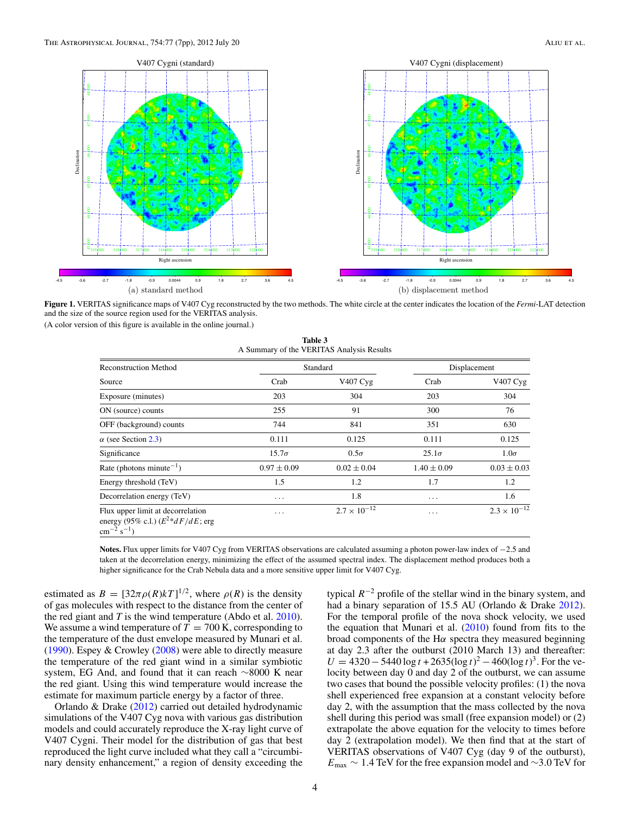<span id="page-4-0"></span>

**Figure 1.** VERITAS significance maps of V407 Cyg reconstructed by the two methods. The white circle at the center indicates the location of the *Fermi*-LAT detection and the size of the source region used for the VERITAS analysis.

(A color version of this figure is available in the online journal.)

**Table 3** A Summary of the VERITAS Analysis Results

| <b>Reconstruction Method</b>                                                                       | Standard        |                       | Displacement    |                       |
|----------------------------------------------------------------------------------------------------|-----------------|-----------------------|-----------------|-----------------------|
| Source                                                                                             | Crab            | V407 Cyg              | Crab            | V407 Cyg              |
| Exposure (minutes)                                                                                 | 203             | 304                   | 203             | 304                   |
| ON (source) counts                                                                                 | 255             | 91                    | 300             | 76                    |
| OFF (background) counts                                                                            | 744             | 841                   | 351             | 630                   |
| $\alpha$ (see Section 2.3)                                                                         | 0.111           | 0.125                 | 0.111           | 0.125                 |
| Significance                                                                                       | $15.7\sigma$    | $0.5\sigma$           | $25.1\sigma$    | $1.0\sigma$           |
| Rate (photons minute <sup><math>-1</math></sup> )                                                  | $0.97 \pm 0.09$ | $0.02 \pm 0.04$       | $1.40 \pm 0.09$ | $0.03 \pm 0.03$       |
| Energy threshold (TeV)                                                                             | 1.5             | 1.2                   | 1.7             | 1.2                   |
| Decorrelation energy (TeV)                                                                         | $\cdots$        | 1.8                   | $\cdots$        | 1.6                   |
| Flux upper limit at decorrelation<br>energy (95% c.l.) $(E^{2*}dF/dE)$ ; erg<br>$cm^{-2} s^{-1}$ ) | $\cdots$        | $2.7 \times 10^{-12}$ | $\cdots$        | $2.3 \times 10^{-12}$ |

**Notes.** Flux upper limits for V407 Cyg from VERITAS observations are calculated assuming a photon power-law index of −2.5 and taken at the decorrelation energy, minimizing the effect of the assumed spectral index. The displacement method produces both a higher significance for the Crab Nebula data and a more sensitive upper limit for V407 Cyg.

estimated as  $B = [32\pi \rho(R)kT]^{1/2}$ , where  $\rho(R)$  is the density of gas molecules with respect to the distance from the center of the red giant and *T* is the wind temperature (Abdo et al. [2010\)](#page-6-0). We assume a wind temperature of  $T = 700$  K, corresponding to the temperature of the dust envelope measured by Munari et al. [\(1990\)](#page-7-0). Espey & Crowley [\(2008\)](#page-6-0) were able to directly measure the temperature of the red giant wind in a similar symbiotic system, EG And, and found that it can reach ∼8000 K near the red giant. Using this wind temperature would increase the estimate for maximum particle energy by a factor of three.

Orlando & Drake [\(2012\)](#page-7-0) carried out detailed hydrodynamic simulations of the V407 Cyg nova with various gas distribution models and could accurately reproduce the X-ray light curve of V407 Cygni. Their model for the distribution of gas that best reproduced the light curve included what they call a "circumbinary density enhancement," a region of density exceeding the typical  $R^{-2}$  profile of the stellar wind in the binary system, and had a binary separation of 15.5 AU (Orlando & Drake [2012\)](#page-7-0). For the temporal profile of the nova shock velocity, we used the equation that Munari et al. [\(2010\)](#page-7-0) found from fits to the broad components of the H*α* spectra they measured beginning at day 2.3 after the outburst (2010 March 13) and thereafter:  $U = 4320 - 5440 \log t + 2635(\log t)^2 - 460(\log t)^3$ . For the velocity between day 0 and day 2 of the outburst, we can assume two cases that bound the possible velocity profiles: (1) the nova shell experienced free expansion at a constant velocity before day 2, with the assumption that the mass collected by the nova shell during this period was small (free expansion model) or (2) extrapolate the above equation for the velocity to times before day 2 (extrapolation model). We then find that at the start of VERITAS observations of V407 Cyg (day 9 of the outburst), *E*max ∼ 1*.*4 TeV for the free expansion model and ∼3*.*0 TeV for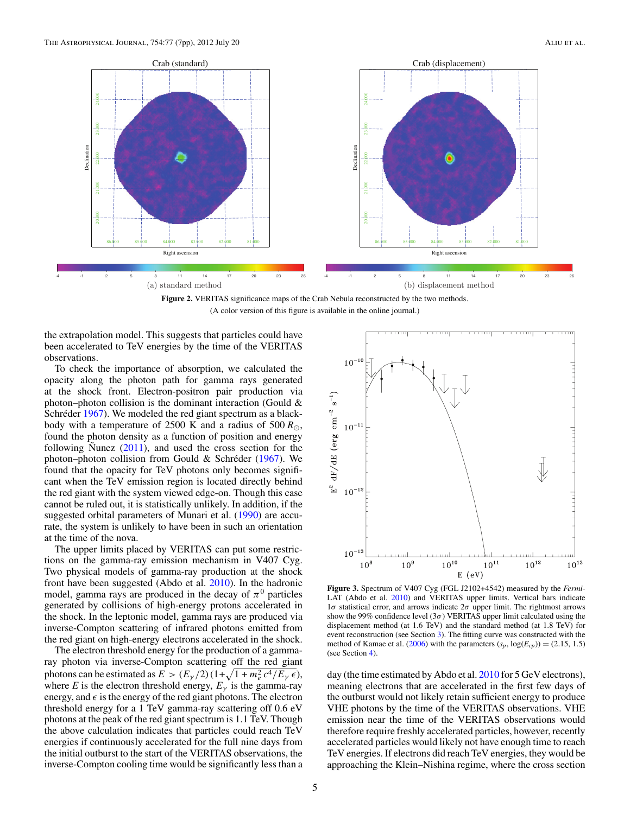<span id="page-5-0"></span>

**Figure 2.** VERITAS significance maps of the Crab Nebula reconstructed by the two methods. (A color version of this figure is available in the online journal.)

the extrapolation model. This suggests that particles could have been accelerated to TeV energies by the time of the VERITAS observations.

To check the importance of absorption, we calculated the opacity along the photon path for gamma rays generated at the shock front. Electron-positron pair production via photon–photon collision is the dominant interaction (Gould  $\&$ Schréder [1967\)](#page-7-0). We modeled the red giant spectrum as a blackbody with a temperature of 2500 K and a radius of 500  $R_{\odot}$ , found the photon density as a function of position and energy following Nunez  $(2011)$  $(2011)$ , and used the cross section for the photon–photon collision from Gould & Schréder  $(1967)$  $(1967)$ . We found that the opacity for TeV photons only becomes significant when the TeV emission region is located directly behind the red giant with the system viewed edge-on. Though this case cannot be ruled out, it is statistically unlikely. In addition, if the suggested orbital parameters of Munari et al. [\(1990\)](#page-7-0) are accurate, the system is unlikely to have been in such an orientation at the time of the nova.

The upper limits placed by VERITAS can put some restrictions on the gamma-ray emission mechanism in V407 Cyg. Two physical models of gamma-ray production at the shock front have been suggested (Abdo et al. [2010\)](#page-6-0). In the hadronic model, gamma rays are produced in the decay of  $\pi^0$  particles generated by collisions of high-energy protons accelerated in the shock. In the leptonic model, gamma rays are produced via inverse-Compton scattering of infrared photons emitted from the red giant on high-energy electrons accelerated in the shock.

The electron threshold energy for the production of a gammaray photon via inverse-Compton scattering off the red giant photons can be estimated as  $E > (E_\gamma/2)(1 + \sqrt{1 + m_e^2 c^4/E_\gamma \epsilon}),$ where *E* is the electron threshold energy,  $E<sub>y</sub>$  is the gamma-ray energy, and  $\epsilon$  is the energy of the red giant photons. The electron threshold energy for a 1 TeV gamma-ray scattering off 0.6 eV photons at the peak of the red giant spectrum is 1.1 TeV. Though the above calculation indicates that particles could reach TeV energies if continuously accelerated for the full nine days from the initial outburst to the start of the VERITAS observations, the inverse-Compton cooling time would be significantly less than a



**Figure 3.** Spectrum of V407 Cyg (FGL J2102+4542) measured by the *Fermi*-LAT (Abdo et al. [2010\)](#page-6-0) and VERITAS upper limits. Vertical bars indicate 1*σ* statistical error, and arrows indicate 2*σ* upper limit. The rightmost arrows show the 99% confidence level  $(3\sigma)$  VERITAS upper limit calculated using the displacement method (at 1.6 TeV) and the standard method (at 1.8 TeV) for event reconstruction (see Section [3\)](#page-3-0). The fitting curve was constructed with the method of Kamae et al. [\(2006\)](#page-7-0) with the parameters  $(s_p, \log(E_{cp})) = (2.15, 1.5)$ (see Section [4\)](#page-3-0).

day (the time estimated by Abdo et al. [2010](#page-6-0) for 5 GeV electrons), meaning electrons that are accelerated in the first few days of the outburst would not likely retain sufficient energy to produce VHE photons by the time of the VERITAS observations. VHE emission near the time of the VERITAS observations would therefore require freshly accelerated particles, however, recently accelerated particles would likely not have enough time to reach TeV energies. If electrons did reach TeV energies, they would be approaching the Klein–Nishina regime, where the cross section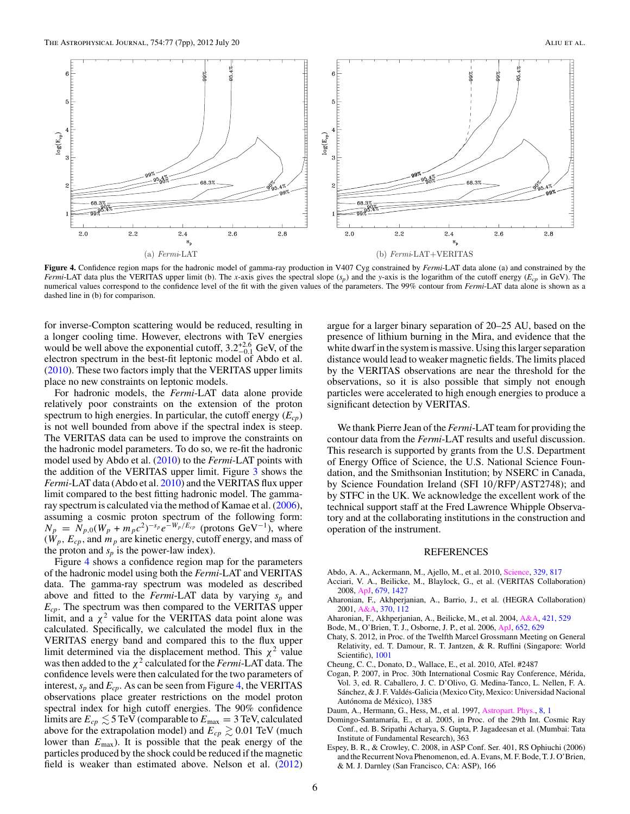<span id="page-6-0"></span>

**Figure 4.** Confidence region maps for the hadronic model of gamma-ray production in V407 Cyg constrained by *Fermi*-LAT data alone (a) and constrained by the *Fermi*-LAT data plus the VERITAS upper limit (b). The *x*-axis gives the spectral slope (*sp*) and the *y*-axis is the logarithm of the cutoff energy (*Ecp* in GeV). The numerical values correspond to the confidence level of the fit with the given values of the parameters. The 99% contour from *Fermi*-LAT data alone is shown as a dashed line in (b) for comparison.

for inverse-Compton scattering would be reduced, resulting in a longer cooling time. However, electrons with TeV energies would be well above the exponential cutoff,  $3.2^{+2.6}_{-0.1}$  GeV, of the electron spectrum in the best-fit leptonic model of Abdo et al. (2010). These two factors imply that the VERITAS upper limits place no new constraints on leptonic models.

For hadronic models, the *Fermi*-LAT data alone provide relatively poor constraints on the extension of the proton spectrum to high energies. In particular, the cutoff energy  $(E_{cp})$ is not well bounded from above if the spectral index is steep. The VERITAS data can be used to improve the constraints on the hadronic model parameters. To do so, we re-fit the hadronic model used by Abdo et al. (2010) to the *Fermi*-LAT points with the addition of the VERITAS upper limit. Figure [3](#page-5-0) shows the *Fermi*-LAT data (Abdo et al. 2010) and the VERITAS flux upper limit compared to the best fitting hadronic model. The gammaray spectrum is calculated via the method of Kamae et al. [\(2006\)](#page-7-0), assuming a cosmic proton spectrum of the following form:  $N_p = N_{p,0}(W_p + m_p c^2)^{-s_p} e^{-W_p/E_{cp}}$  (protons GeV<sup>-1</sup>), where  $(W_p, E_{cp})$ , and  $m_p$  are kinetic energy, cutoff energy, and mass of the proton and  $s_p$  is the power-law index).

Figure 4 shows a confidence region map for the parameters of the hadronic model using both the *Fermi*-LAT and VERITAS data. The gamma-ray spectrum was modeled as described above and fitted to the *Fermi*-LAT data by varying *sp* and *Ecp*. The spectrum was then compared to the VERITAS upper limit, and a  $\chi^2$  value for the VERITAS data point alone was calculated. Specifically, we calculated the model flux in the VERITAS energy band and compared this to the flux upper limit determined via the displacement method. This  $\chi^2$  value was then added to the  $\chi^2$  calculated for the *Fermi*-LAT data. The confidence levels were then calculated for the two parameters of interest,  $s_p$  and  $E_{cp}$ . As can be seen from Figure 4, the VERITAS observations place greater restrictions on the model proton spectral index for high cutoff energies. The 90% confidence limits are  $E_{cp} \lesssim 5 \,\text{TeV}$  (comparable to  $E_{\text{max}} = 3 \,\text{TeV}$ , calculated above for the extrapolation model) and  $E_{cp} \gtrsim 0.01$  TeV (much lower than  $E_{\text{max}}$ ). It is possible that the peak energy of the particles produced by the shock could be reduced if the magnetic field is weaker than estimated above. Nelson et al.  $(2012)$ 

argue for a larger binary separation of 20–25 AU, based on the presence of lithium burning in the Mira, and evidence that the white dwarf in the system is massive. Using this larger separation distance would lead to weaker magnetic fields. The limits placed by the VERITAS observations are near the threshold for the observations, so it is also possible that simply not enough particles were accelerated to high enough energies to produce a significant detection by VERITAS.

We thank Pierre Jean of the *Fermi*-LAT team for providing the contour data from the *Fermi*-LAT results and useful discussion. This research is supported by grants from the U.S. Department of Energy Office of Science, the U.S. National Science Foundation, and the Smithsonian Institution; by NSERC in Canada, by Science Foundation Ireland (SFI 10*/*RFP*/*AST2748); and by STFC in the UK. We acknowledge the excellent work of the technical support staff at the Fred Lawrence Whipple Observatory and at the collaborating institutions in the construction and operation of the instrument.

#### REFERENCES

- Abdo, A. A., Ackermann, M., Ajello, M., et al. 2010, [Science,](http://dx.doi.org/10.1126/science.1192537) [329, 817](http://adsabs.harvard.edu/abs/2010Sci...329..817A)
- Acciari, V. A., Beilicke, M., Blaylock, G., et al. (VERITAS Collaboration) 2008, [ApJ,](http://dx.doi.org/10.1086/587736) [679, 1427](http://adsabs.harvard.edu/abs/2008ApJ...679.1427A)
- Aharonian, F., Akhperjanian, A., Barrio, J., et al. (HEGRA Collaboration) 2001, [A&A,](http://dx.doi.org/10.1051/0004-6361:20010243) [370, 112](http://adsabs.harvard.edu/abs/2001A&A...370..112A)
- Aharonian, F., Akhperjanian, A., Beilicke, M., et al. 2004, [A&A,](http://dx.doi.org/10.1051/0004-6361:20035764) [421, 529](http://adsabs.harvard.edu/abs/2004A&A...421..529A)
- Bode, M., O'Brien, T. J., Osborne, J. P., et al. 2006, [ApJ,](http://dx.doi.org/10.1086/507980) [652, 629](http://adsabs.harvard.edu/abs/2006ApJ...652..629B)
- Chaty, S. 2012, in Proc. of the Twelfth Marcel Grossmann Meeting on General Relativity, ed. T. Damour, R. T. Jantzen, & R. Ruffini (Singapore: World Scientific), [1001](http://adsabs.harvard.edu/abs/2012mgm..conf.1001C)
- Cheung, C. C., Donato, D., Wallace, E., et al. 2010, ATel. #2487
- Cogan, P. 2007, in Proc. 30th International Cosmic Ray Conference, Merida, ´ Vol. 3, ed. R. Caballero, J. C. D'Olivo, G. Medina-Tanco, L. Nellen, F. A. Sánchez, & J. F. Valdés-Galicia (Mexico City, Mexico: Universidad Nacional Autónoma de México), 1385
- Daum, A., Hermann, G., Hess, M., et al. 1997, [Astropart. Phys.,](http://dx.doi.org/10.1016/S0927-6505(97)00031-5) [8, 1](http://adsabs.harvard.edu/abs/1997APh.....8....1D)
- Domingo-Santamaría, E., et al. 2005, in Proc. of the 29th Int. Cosmic Ray Conf., ed. B. Sripathi Acharya, S. Gupta, P. Jagadeesan et al. (Mumbai: Tata Institute of Fundamental Research), 363
- Espey, B. R., & Crowley, C. 2008, in ASP Conf. Ser. 401, RS Ophiuchi (2006) and the Recurrent Nova Phenomenon, ed. A. Evans, M. F. Bode, T. J. O'Brien, & M. J. Darnley (San Francisco, CA: ASP), 166